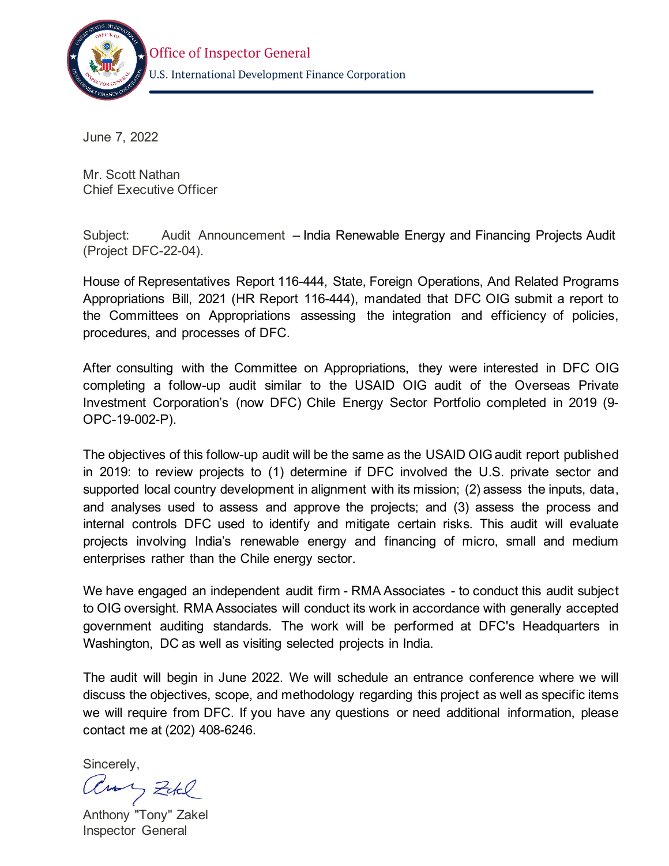

June 7, 2022

Mr. Scott Nathan Chief Executive Officer

Subject: Audit Announcement – India Renewable Energy and Financing Projects Audit (Project DFC-22-04).

House of Representatives Report 116-444, State, Foreign Operations, And Related Programs Appropriations Bill, 2021 (HR Report 116-444), mandated that DFC OIG submit a report to the Committees on Appropriations assessing the integration and efficiency of policies, procedures, and processes of DFC.

After consulting with the Committee on Appropriations, they were interested in DFC OIG completing a follow-up audit similar to the USAID OIG audit of the Overseas Private Investment Corporation's (now DFC) Chile Energy Sector Portfolio completed in 2019 (9- OPC-19-002-P).

The objectives of this follow-up audit will be the same as the USAID OIG audit report published in 2019: to review projects to (1) determine if DFC involved the U.S. private sector and supported local country development in alignment with its mission; (2) assess the inputs, data, and analyses used to assess and approve the projects; and (3) assess the process and internal controls DFC used to identify and mitigate certain risks. This audit will evaluate projects involving India's renewable energy and financing of micro, small and medium enterprises rather than the Chile energy sector.

We have engaged an independent audit firm - RMA Associates - to conduct this audit subject to OIG oversight. RMA Associates will conduct its work in accordance with generally accepted government auditing standards. The work will be performed at DFC's Headquarters in Washington, DC as well as visiting selected projects in India.

The audit will begin in June 2022. We will schedule an entrance conference where we will discuss the objectives, scope, and methodology regarding this project as well as specific items we will require from DFC. If you have any questions or need additional information, please contact me at (202) 408-6246.

Sincerely,

aus Zoke

Anthony "Tony" Zakel Inspector General